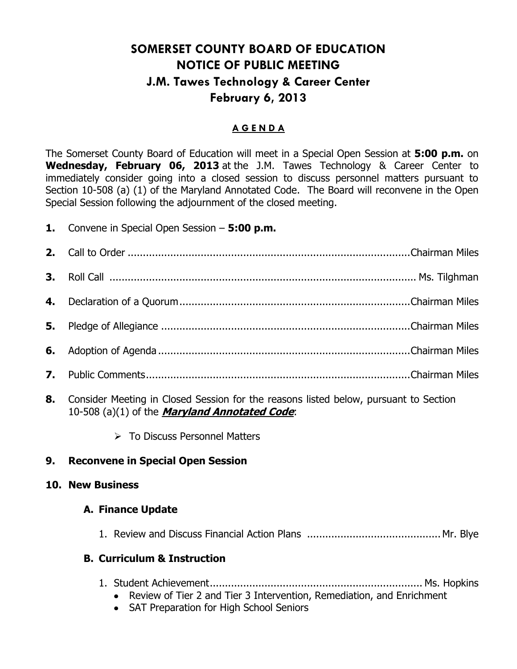# **SOMERSET COUNTY BOARD OF EDUCATION NOTICE OF PUBLIC MEETING J.M. Tawes Technology & Career Center February 6, 2013**

### **A G E N D A**

The Somerset County Board of Education will meet in a Special Open Session at **5:00 p.m.** on **Wednesday, February 06, 2013** at the J.M. Tawes Technology & Career Center to immediately consider going into a closed session to discuss personnel matters pursuant to Section 10-508 (a) (1) of the Maryland Annotated Code. The Board will reconvene in the Open Special Session following the adjournment of the closed meeting.

# **1.** Convene in Special Open Session – **5:00 p.m.**

- **8.** Consider Meeting in Closed Session for the reasons listed below, pursuant to Section 10-508 (a)(1) of the **Maryland Annotated Code**:
	- > To Discuss Personnel Matters

# **9. Reconvene in Special Open Session**

### **10. New Business**

### **A. Finance Update**

1. Review and Discuss Financial Action Plans ............................................ Mr. Blye

# **B. Curriculum & Instruction**

- 1. Student Achievement...................................................................... Ms. Hopkins
	- Review of Tier 2 and Tier 3 Intervention, Remediation, and Enrichment
	- SAT Preparation for High School Seniors